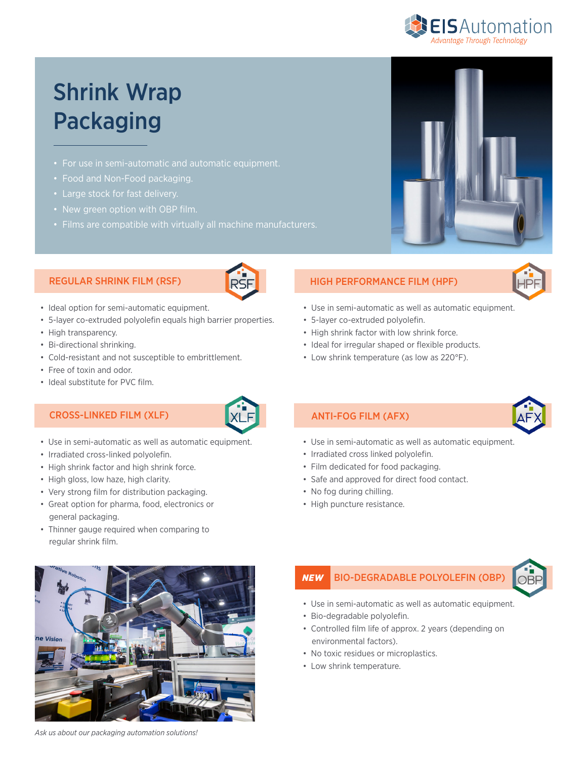

# Shrink Wrap Packaging

- 
- Food and Non-Food packaging.
- Large stock for fast delivery.
- New green option with OBP film.
- Films are compatible with virtually all machine manufacturers.

#### REGULAR SHRINK FILM (RSF)



- Ideal option for semi-automatic equipment.
- 5-layer co-extruded polyolefin equals high barrier properties.
- High transparency.
- Bi-directional shrinking.
- Cold-resistant and not susceptible to embrittlement.
- Free of toxin and odor.
- Ideal substitute for PVC film.

### CROSS-LINKED FILM (XLF)  $\begin{matrix} |X| \ \ \end{matrix}$   $\begin{matrix} |X| \ \ \end{matrix}$   $\begin{matrix} |X| \ \ \end{matrix}$   $\begin{matrix} |X| \ \ \end{matrix}$   $\begin{matrix} |X| \ \ \end{matrix}$   $\begin{matrix} |X| \ \ \end{matrix}$   $\begin{matrix} |X| \ \ \end{matrix}$   $\begin{matrix} |X| \ \ \end{matrix}$   $\begin{matrix} |X| \ \ \end{matrix}$   $\begin{matrix} |X| \ \ \end{matrix}$   $\begin{matrix} |X| \ \ \end{matrix}$



- Use in semi-automatic as well as automatic equipment.
- Irradiated cross-linked polyolefin.
- High shrink factor and high shrink force.
- High gloss, low haze, high clarity.
- Very strong film for distribution packaging.
- Great option for pharma, food, electronics or general packaging.
- Thinner gauge required when comparing to regular shrink film.



*Ask us about our packaging automation solutions!*

## HIGH PERFORMANCE FILM (HPF)



- Use in semi-automatic as well as automatic equipment.
- 5-layer co-extruded polyolefin.
- High shrink factor with low shrink force.
- Ideal for irregular shaped or flexible products.
- Low shrink temperature (as low as 220°F).

- Use in semi-automatic as well as automatic equipment.
- Irradiated cross linked polyolefin.
- Film dedicated for food packaging.
- Safe and approved for direct food contact.
- No fog during chilling.
- High puncture resistance.

#### BIO-DEGRADABLE POLYOLEFIN (OBP) *NEW*



- Use in semi-automatic as well as automatic equipment.
- Bio-degradable polyolefin.
- Controlled film life of approx. 2 years (depending on environmental factors).
- No toxic residues or microplastics.
- Low shrink temperature.